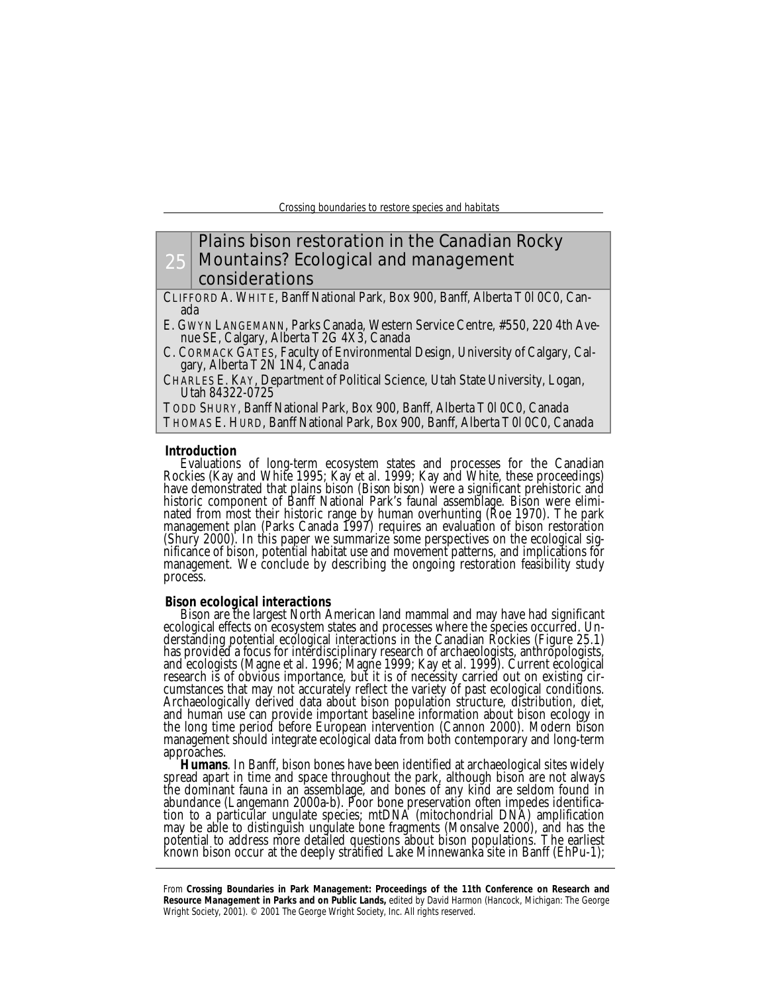## 25 Plains bison restoration in the Canadian Rocky Mountains? Ecological and management considerations

CLIFFORD A. WHITE, Banff National Park, Box 900, Banff, Alberta T0l 0C0, Canada

E. GWYN LANGEMANN, Parks Canada, Western Service Centre, #550, 220 4th Avenue SE, Calgary, Alberta T2G 4X3, Canada

C. CORMACK GATES, Faculty of Environmental Design, University of Calgary, Calgary, Alberta T2N 1N4, Canada

CHARLES E. KAY, Department of Political Science, Utah State University, Logan, Utah 84322-0725

TODD SHURY, Banff National Park, Box 900, Banff, Alberta T0l 0C0, Canada THOMAS E. HURD, Banff National Park, Box 900, Banff, Alberta T0l 0C0, Canada

## **Introduction**

Evaluations of long-term ecosystem states and processes for the Canadian Rockies (Kay and White 1995; Kay et al. 1999; Kay and White, these proceedings) have demonstrated that plains bison *(Bison bison)* were a significant prehistoric and historic component of Banff National Park's faunal assemblage. Bison were eliminated from most their historic range by human overhunting (Roe 1970). The park management plan (Parks Canada 1997) requires an evaluation of bison restoration (Shury 2000). In this paper we summarize some perspectives on the ecological significance of bison, potential habitat use and movement patterns, and implications for management. We conclude by describing the ongoing restoration feasibility study process.

#### **Bison ecological interactions**

Bison are the largest North American land mammal and may have had significant ecological effects on ecosystem states and processes where the species occurred. Understanding potential ecological interactions in the Canadian Rockies (Figure 25.1) has provided a focus for interdisciplinary research of archaeologists, anthropologists, and ecologists (Magne et al. 1996; Magne 1999; Kay et al. 1999). Current ecological research is of obvious importance, but it is of necessity carried out on existing circumstances that may not accurately reflect the variety of past ecological conditions. Archaeologically derived data about bison population structure, distribution, diet, and human use can provide important baseline information about bison ecology in the long time period before European intervention (Cannon 2000). Modern bison management should integrate ecological data from both contemporary and long-term approaches.

*Humans*. In Banff, bison bones have been identified at archaeological sites widely spread apart in time and space throughout the park, although bison are not always the dominant fauna in an assemblage, and bones of any kind are seldom found in abundance (Langemann 2000a-b). Poor bone preservation often impedes identification to a particular ungulate species; mtDNA (mitochondrial DNA) amplification may be able to distinguish ungulate bone fragments (Monsalve 2000), and has the potential to address more detailed questions about bison populations. The earliest known bison occur at the deeply stratified Lake Minnewanka site in Banff (EhPu-1);

From **Crossing Boundaries in Park Management: Proceedings of the 11th Conference on Research and Resource Management in Parks and on Public Lands,** edited by David Harmon (Hancock, Michigan: The George Wright Society, 2001). © 2001 The George Wright Society, Inc. All rights reserved.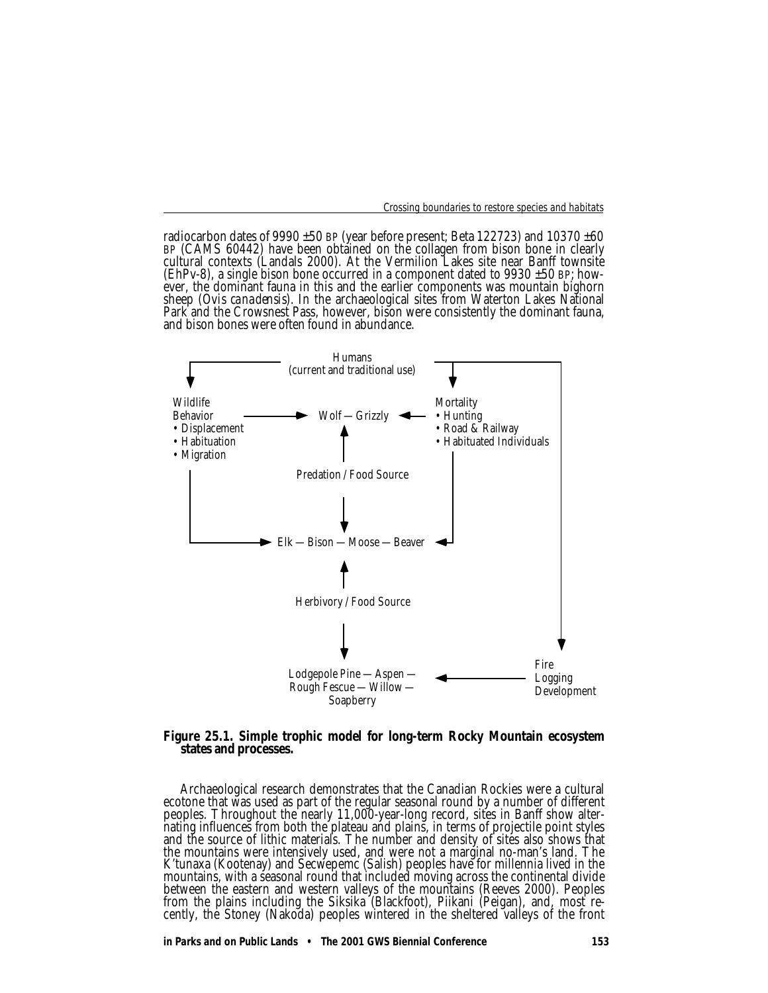radiocarbon dates of 9990  $\pm 50$  BP (year before present; Beta 122723) and 10370  $\pm 60$ BP (CAMS 60442) have been obtained on the collagen from bison bone in clearly cultural contexts (Landals 2000). At the Vermilion Lakes site near Banff townsite (EhPv-8), a single bison bone occurred in a component dated to  $9930 \pm 50$  BP; however, the dominant fauna in this and the earlier components was mountain bighorn sheep *(Ovis canadensis).* In the archaeological sites from Waterton Lakes National Park and the Crowsnest Pass, however, bison were consistently the dominant fauna, and bison bones were often found in abundance.



# *Figure 25.1. Simple trophic model for long-term Rocky Mountain ecosystem states and processes.*

Archaeological research demonstrates that the Canadian Rockies were a cultural ecotone that was used as part of the regular seasonal round by a number of different peoples. Throughout the nearly 11,000-year-long record, sites in Banff show alternating influences from both the plateau and plains, in terms of projectile point styles and the source of lithic materials. The number and density of sites also shows that the mountains were intensively used, and were not a marginal no-man's land. The K'tunaxa (Kootenay) and Secwepemc (Salish) peoples have for millennia lived in the mountains, with a seasonal round that included moving across the continental divide between the eastern and western valleys of the mountains (Reeves 2000). Peoples from the plains including the Siksika (Blackfoot), Piikani (Peigan), and, most recently, the Stoney (Nakoda) peoples wintered in the sheltered valleys of the front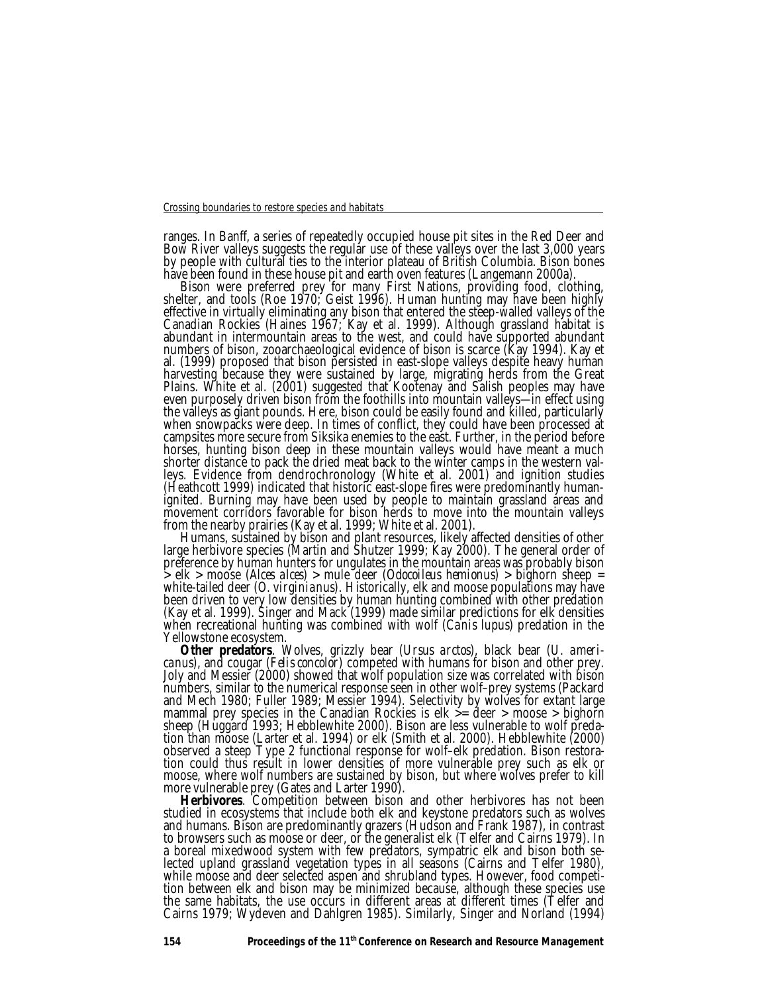ranges. In Banff, a series of repeatedly occupied house pit sites in the Red Deer and Bow River valleys suggests the regular use of these valleys over the last 3,000 years by people with cultural ties to the interior plateau of British Columbia. Bison bones have been found in these house pit and eart<u>h</u> oven features (Langemann 2000a).

Bison were preferred prey for many First Nations, providing food, clothing, shelter, and tools (Roe 1970; Geist 1996). Human hunting may have been highly effective in virtually eliminating any bison that entered the steep-walled valleys of the Canadian Rockies (Haines 1967; Kay et al. 1999). Although grassland habitat is abundant in intermountain areas to the west, and could have supported abundant numbers of bison, zooarchaeological evidence of bison is scarce (Kay 1994). Kay et al. (1999) proposed that bison persisted in east-slope valleys despite heavy human harvesting because they were sustained by large, migrating herds from the Great Plains. White et al. (2001) suggested that Kootenay and Salish peoples may have even purposely driven bison from the foothills into mountain valleys—in effect using the valleys as giant pounds. Here, bison could be easily found and killed, particularly when snowpacks were deep. In times of conflict, they could have been processed at campsites more secure from Siksika enemies to the east. Further, in the period before horses, hunting bison deep in these mountain valleys would have meant a much shorter distance to pack the dried meat back to the winter camps in the western valleys. Evidence from dendrochronology (White et al. 2001) and ignition studies (Heathcott 1999) indicated that historic east-slope fires were predominantly humanignited. Burning may have been used by people to maintain grassland areas and movement corridors favorable for bison herds to move into the mountain valleys from the nearby prairies (Kay et al. 1999; White et al. 2001).

Humans, sustained by bison and plant resources, likely affected densities of other large herbivore species (Martin and Shutzer 1999; Kay 2000). The general order of preference by human hunters for ungulates in the mountain areas was probably bison > elk > moose *(Alces alces)* > mule deer *(Odocoileus hemionus)* > bighorn sheep = white-tailed deer *(O. virginianus).* Historically, elk and moose populations may have been driven to very low densities by human hunting combined with other predation (Kay et al. 1999). Singer and Mack (1999) made similar predictions for elk densities when recreational hunting was combined with wolf *(Canis lupus)* predation in the Yellowstone ecosystem.

*Other predators*. Wolves, grizzly bear *(Ursus arctos),* black bear *(U. americanus),* and cougar *(Felis concolor)* competed with humans for bison and other prey. Joly and Messier (2000) showed that wolf population size was correlated with bison numbers, similar to the numerical response seen in other wolf–prey systems (Packard and Mech 1980; Fuller 1989; Messier 1994). Selectivity by wolves for extant large mammal prey species in the Canadian Rockies is elk >= deer > moose > bighorn sheep (Huggard 1993; Hebblewhite 2000). Bison are less vulnerable to wolf predation than moose (Larter et al. 1994) or elk (Smith et al. 2000). Hebblewhite (2000) observed a steep Type 2 functional response for wolf–elk predation. Bison restoration could thus result in lower densities of more vulnerable prey such as elk or moose, where wolf numbers are sustained by bison, but where wolves prefer to kill more vulnerable prey (Gates and Larter 1990).

*Herbivores*. Competition between bison and other herbivores has not been studied in ecosystems that include both elk and keystone predators such as wolves and humans. Bison are predominantly grazers (Hudson and Frank 1987), in contrast to browsers such as moose or deer, or the generalist elk (Telfer and Cairns 1979). In a boreal mixedwood system with few predators, sympatric elk and bison both selected upland grassland vegetation types in all seasons (Cairns and Telfer 1980), while moose and deer selected aspen and shrubland types. However, food competition between elk and bison may be minimized because, although these species use the same habitats, the use occurs in different areas at different times (Telfer and Cairns 1979; Wydeven and Dahlgren 1985). Similarly, Singer and Norland (1994)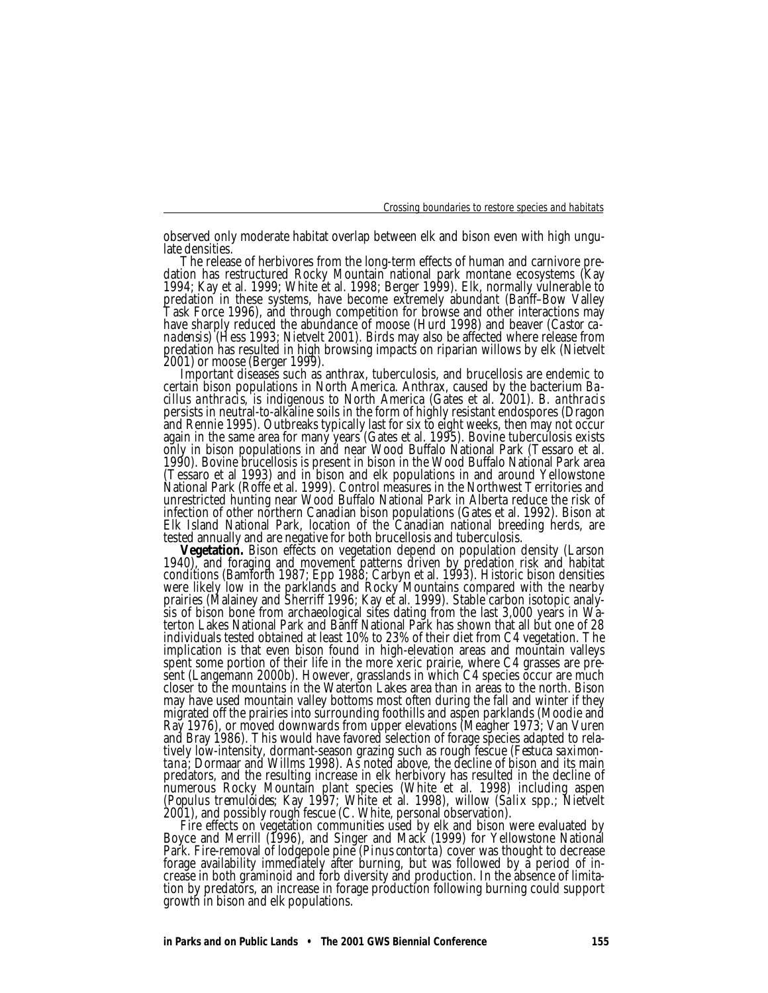observed only moderate habitat overlap between elk and bison even with high ungulate densities.

The release of herbivores from the long-term effects of human and carnivore predation has restructured Rocky Mountain national park montane ecosystems (Kay 1994; Kay et al. 1999; White et al. 1998; Berger 1999). Elk, normally vulnerable to predation in these systems, have become extremely abundant (Banff–Bow Valley Task Force 1996), and through competition for browse and other interactions may have sharply reduced the abundance of moose (Hurd 1998) and beaver *(Castor canadensis)* (Hess 1993; Nietvelt 2001). Birds may also be affected where release from predation has resulted in high browsing impacts on riparian willows by elk (Nietvelt 2001) or moose (Berger 1999).

Important diseases such as anthrax, tuberculosis, and brucellosis are endemic to certain bison populations in North America. Anthrax, caused by the bacterium *Bacillus anthracis,* is indigenous to North America (Gates et al. 2001). *B. anthracis* persists in neutral-to-alkaline soils in the form of highly resistant endospores (Dragon and Rennie 1995). Outbreaks typically last for six to eight weeks, then may not occur again in the same area for many years (Gates et al. 1995). Bovine tuberculosis exists only in bison populations in and near Wood Buffalo National Park (Tessaro et al. 1990). Bovine brucellosis is present in bison in the Wood Buffalo National Park area (Tessaro et al 1993) and in bison and elk populations in and around Yellowstone National Park (Roffe et al. 1999). Control measures in the Northwest Territories and unrestricted hunting near Wood Buffalo National Park in Alberta reduce the risk of infection of other northern Canadian bison populations (Gates et al. 1992). Bison at Elk Island National Park, location of the Canadian national breeding herds, are tested annually and are negative for both brucellosis and tuberculosis.

*Vegetation.* Bison effects on vegetation depend on population density (Larson 1940), and foraging and movement patterns driven by predation risk and habitat conditions (Bamforth 1987; Epp 1988; Carbyn et al. 1993). Historic bison densities were likely low in the parklands and Rocky Mountains compared with the nearby prairies (Malainey and Sherriff 1996; Kay et al. 1999). Stable carbon isotopic analysis of bison bone from archaeological sites dating from the last 3,000 years in Waterton Lakes National Park and Banff National Park has shown that all but one of 28 individuals tested obtained at least 10% to 23% of their diet from C4 vegetation. The implication is that even bison found in high-elevation areas and mountain valleys spent some portion of their life in the more xeric prairie, where C4 grasses are present (Langemann 2000b). However, grasslands in which C4 species occur are much closer to the mountains in the Waterton Lakes area than in areas to the north. Bison may have used mountain valley bottoms most often during the fall and winter if they migrated off the prairies into surrounding foothills and aspen parklands (Moodie and Ray 1976), or moved downwards from upper elevations (Meagher 1973; Van Vuren and Bray 1986). This would have favored selection of forage species adapted to relatively low-intensity, dormant-season grazing such as rough fescue *(Festuca saximontana;* Dormaar and Willms 1998). As noted above, the decline of bison and its main predators, and the resulting increase in elk herbivory has resulted in the decline of numerous Rocky Mountain plant species (White et al. 1998) including aspen *(Populus tremuloides;* Kay 1997; White et al. 1998), willow *(Salix* spp.; Nietvelt 2001), and possibly rough fescue (C. White, personal observation).

Fire effects on vegetation communities used by elk and bison were evaluated by Boyce and Merrill (1996), and Singer and Mack (1999) for Yellowstone National Park. Fire-removal of lodgepole pine *(Pinus contorta)* cover was thought to decrease forage availability immediately after burning, but was followed by a period of increase in both graminoid and forb diversity and production. In the absence of limitation by predators, an increase in forage production following burning could support growth in bison and elk populations.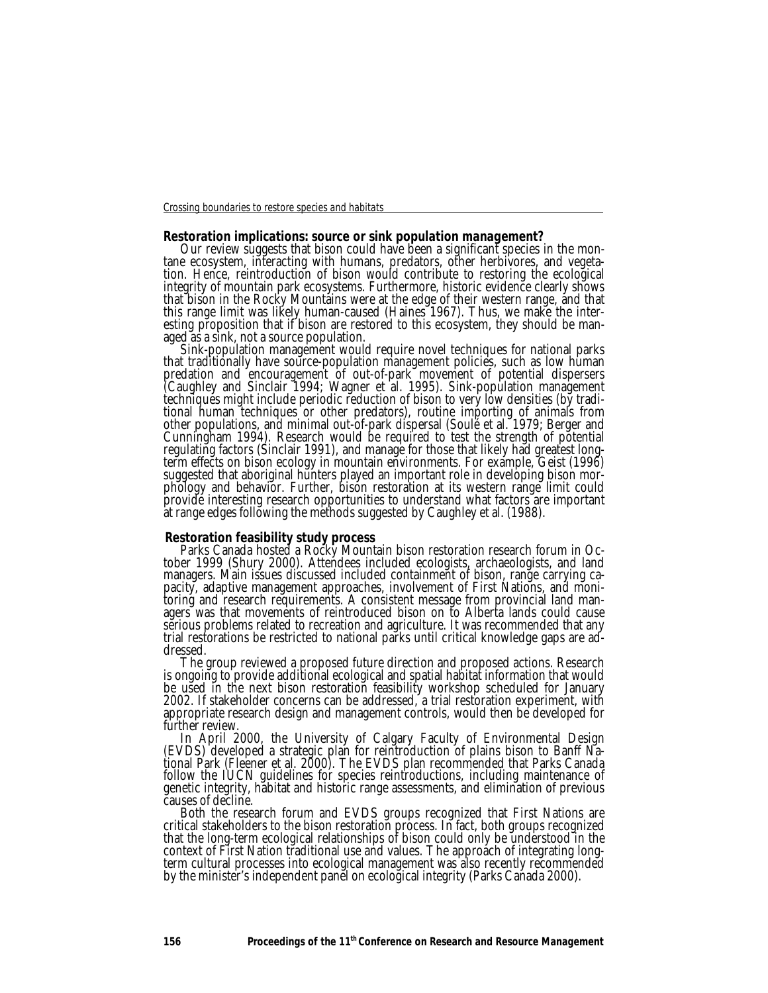### **Restoration implications: source or sink population management?**

Our review suggests that bison could have been a significant species in the montane ecosystem, interacting with humans, predators, other herbivores, and vegetation. Hence, reintroduction of bison would contribute to restoring the ecological integrity of mountain park ecosystems. Furthermore, historic evidence clearly shows that bison in the Rocky Mountains were at the edge of their western range, and that this range limit was likely human-caused (Haines 1967). Thus, we make the interesting proposition that if bison are restored to this ecosystem, they should be managed as a sink, not a source population.

Sink-population management would require novel techniques for national parks that traditionally have source-population management policies, such as low human predation and encouragement of out-of-park movement of potential dispersers (Caughley and Sinclair 1994; Wagner et al. 1995). Sink-population management techniques might include periodic reduction of bison to very low densities (by traditional human techniques or other predators), routine importing of animals from other populations, and minimal out-of-park dispersal (Soulé et al. 1979; Berger and Cunningham 1994). Research would be required to test the strength of potential regulating factors (Sinclair 1991), and manage for those that likely had greatest longterm effects on bison ecology in mountain environments. For example, Geist (1996) suggested that aboriginal hunters played an important role in developing bison morphology and behavior. Further, bison restoration at its western range limit could provide interesting research opportunities to understand what factors are important at range edges following the methods suggested by Caughley et al. (1988).

# **Restoration feasibility study process**

Parks Canada hosted a Rocky Mountain bison restoration research forum in October 1999 (Shury 2000). Attendees included ecologists, archaeologists, and land managers. Main issues discussed included containment of bison, range carrying capacity, adaptive management approaches, involvement of First Nations, and monitoring and research requirements. A consistent message from provincial land managers was that movements of reintroduced bison on to Alberta lands could cause serious problems related to recreation and agriculture. It was recommended that any trial restorations be restricted to national parks until critical knowledge gaps are addressed.

The group reviewed a proposed future direction and proposed actions. Research is ongoing to provide additional ecological and spatial habitat information that would be used in the next bison restoration feasibility workshop scheduled for January 2002. If stakeholder concerns can be addressed, a trial restoration experiment, with appropriate research design and management controls, would then be developed for further review.

In April 2000, the University of Calgary Faculty of Environmental Design (EVDS) developed a strategic plan for reintroduction of plains bison to Banff National Park (Fleener et al. 2000). The EVDS plan recommended that Parks Canada follow the IUCN guidelines for species reintroductions, including maintenance of genetic integrity, habitat and historic range assessments, and elimination of previous causes of decline.

Both the research forum and EVDS groups recognized that First Nations are critical stakeholders to the bison restoration process. In fact, both groups recognized that the long-term ecological relationships of bison could only be understood in the context of First Nation traditional use and values. The approach of integrating longterm cultural processes into ecological management was also recently recommended by the minister's independent panel on ecological integrity (Parks Canada 2000).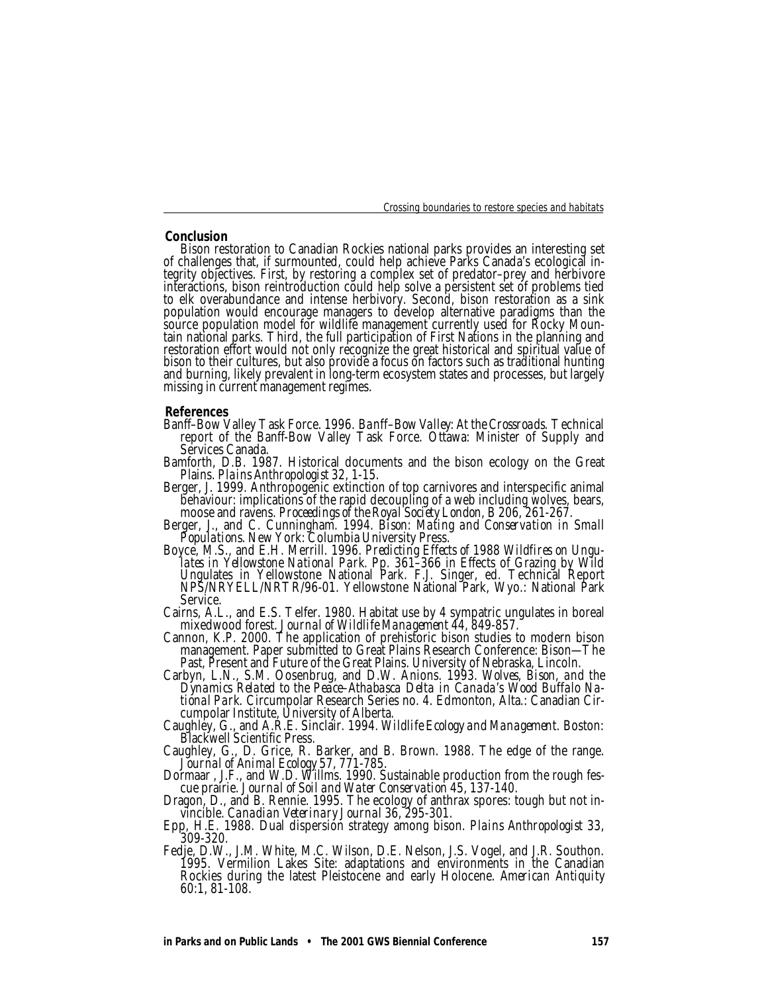### **Conclusion**

Bison restoration to Canadian Rockies national parks provides an interesting set of challenges that, if surmounted, could help achieve Parks Canada's ecological integrity objectives. First, by restoring a complex set of predator–prey and herbivore interactions, bison reintroduction could help solve a persistent set of problems tied to elk overabundance and intense herbivory. Second, bison restoration as a sink population would encourage managers to develop alternative paradigms than the source population model for wildlife management currently used for Rocky Mountain national parks. Third, the full participation of First Nations in the planning and restoration effort would not only recognize the great historical and spiritual value of bison to their cultures, but also provide a focus on factors such as traditional hunting and burning, likely prevalent in long-term ecosystem states and processes, but largely missing in current management regimes.

#### **References**

- Banff–Bow Valley Task Force. 1996. *Banff–Bow Valley: At the Crossroads.* Technical report of the Banff-Bow Valley Task Force. Ottawa: Minister of Supply and Services Canada.
- Bamforth, D.B. 1987. Historical documents and the bison ecology on the Great Plains. *Plains Anthropologist* 32, 1-15.
- Berger, J. 1999. Anthropogenic extinction of top carnivores and interspecific animal behaviour: implications of the rapid decoupling of a web including wolves, bears, moose and ravens. *Proceedings of the Royal Society London, B* 206, 261-267.
- Berger, J., and C. Cunningham. 1994. *Bison: Mating and Conservation in Small Populations.* New York: Columbia University Press.
- Boyce, M.S., and E.H. Merrill. 1996. *Predicting Effects of 1988 Wildfires on Ungulates in Yellowstone National Park.* Pp. 361–366 in Effects of Grazing by Wild Ungulates in Yellowstone National Park. F.J. Singer, ed. Technical Report NPS/NRYELL/NRTR/96-01. Yellowstone National Park, Wyo.: National Park Service.
- Cairns, A.L., and E.S. Telfer. 1980. Habitat use by 4 sympatric ungulates in boreal mixedwood forest. *Journal of Wildlife Management* 44, 849-857.
- Cannon, K.P. 2000. The application of prehistoric bison studies to modern bison management. Paper submitted to Great Plains Research Conference: Bison—The Past, Present and Future of the Great Plains. University of Nebraska, Lincoln.
- Carbyn, L.N., S.M. Oosenbrug, and D.W. Anions. 1993. *Wolves, Bison, and the Dynamics Related to the Peace–Athabasca Delta in Canada's Wood Buffalo National Park.* Circumpolar Research Series no. 4. Edmonton, Alta.: Canadian Circumpolar Institute, University of Alberta.
- Caughley, G., and A.R.E. Sinclair. 1994. *Wildlife Ecology and Management.* Boston: Blackwell Scientific Press.
- Caughley, G., D. Grice, R. Barker, and B. Brown. 1988. The edge of the range. *Journal of Animal Ecology* 57, 771-785.
- Dormaar , J.F., and W.D. Willms. 1990. Sustainable production from the rough fescue prairie. *Journal of Soil and Water Conservation* 45, 137-140.
- Dragon, D., and B. Rennie. 1995. The ecology of anthrax spores: tough but not invincible. *Canadian Veterinary Journal* 36, 295-301.
- Epp, H.E. 1988. Dual dispersion strategy among bison. *Plains Anthropologist* 33, 309-320.
- Fedje, D.W., J.M. White, M.C. Wilson, D.E. Nelson, J.S. Vogel, and J.R. Southon. 1995. Vermilion Lakes Site: adaptations and environments in the Canadian Rockies during the latest Pleistocene and early Holocene. *American Antiquity* 60:1, 81-108.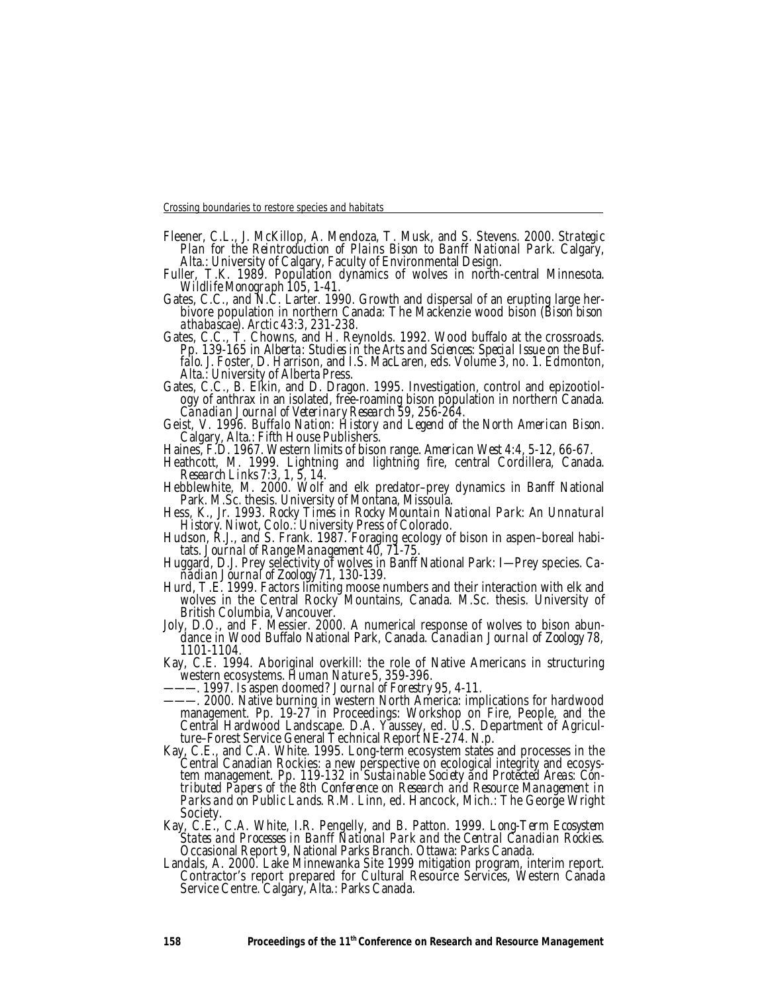- Fleener, C.L., J. McKillop, A. Mendoza, T. Musk, and S. Stevens. 2000. *Strategic Plan for the Reintroduction of Plains Bison to Banff National Park.* Calgary, Alta.: University of Calgary, Faculty of Environmental Design.
- Fuller, T.K. 1989. Population dynamics of wolves in north-central Minnesota. *Wildlife Monograph* 105, 1-41.
- Gates, C.C., and N.C. Larter. 1990. Growth and dispersal of an erupting large herbivore population in northern Canada: The Mackenzie wood bison *(Bison bison athabascae). Arctic* 43:3, 231-238.
- Gates, C.C., T. Chowns, and H. Reynolds. 1992. Wood buffalo at the crossroads. Pp. 139-165 in *Alberta: Studies in the Arts and Sciences: Special Issue on the Buffalo.* J. Foster, D. Harrison, and I.S. MacLaren, eds. Volume 3, no. 1. Edmonton, Alta.: University of Alberta Press.
- Gates, C.C., B. Elkin, and D. Dragon. 1995. Investigation, control and epizootiology of anthrax in an isolated, free-roaming bison population in northern Canada. *Canadian Journal of Veterinary Research* 59, 256-264.

Geist, V. 1996. *Buffalo Nation: History and Legend of the North American Bison.* Calgary, Alta.: Fifth House Publishers.

Haines, F.D. 1967. Western limits of bison range. *American West* 4:4, 5-12, 66-67.

Heathcott, M. 1999. Lightning and lightning fire, central Cordillera, Canada. *Research Links* 7:3, 1, 5, 14.

Hebblewhite, M. 2000. Wolf and elk predator–prey dynamics in Banff National Park. M.Sc. thesis. University of Montana, Missoula.

Hess, K., Jr. 1993. *Rocky Times in Rocky Mountain National Park: An Unnatural History.* Niwot, Colo.: University Press of Colorado.

Hudson, R.J., and S. Frank. 1987. Foraging ecology of bison in aspen–boreal habitats. *Journal of Range Management* 40, 71-75.

Huggard, D.J. Prey selectivity of wolves in Banff National Park: I-Prey species. Ca*nadian Journal of Zoology* 71, 130-139.

- Hurd, T.E. 1999. Factors limiting moose numbers and their interaction with elk and wolves in the Central Rocky Mountains, Canada. M.Sc. thesis. University of British Columbia, Vancouver.
- Joly, D.O., and F. Messier. 2000. A numerical response of wolves to bison abundance in Wood Buffalo National Park, Canada. *Canadian Journal of Zoology* 78, 1101-1104.
- Kay, C.E. 1994. Aboriginal overkill: the role of Native Americans in structuring western ecosystems. *Human Nature* 5, 359-396.

———. 1997. Is aspen doomed? *Journal of Forestry* 95, 4-11.

- ———. 2000. Native burning in western North America: implications for hardwood management. Pp. 19-27 in Proceedings: Workshop on Fire, People, and the Central Hardwood Landscape. D.A. Yaussey, ed. U.S. Department of Agriculture–Forest Service General Technical Report NE-274. N.p.
- Kay, C.E., and C.A. White. 1995. Long-term ecosystem states and processes in the Central Canadian Rockies: a new perspective on ecological integrity and ecosystem management. Pp. 119-132 in *Sustainable Society and Protected Areas: Contributed Papers of the 8th Conference on Research and Resource Management in Parks and on Public Lands. R.M. Linn, ed. Hancock, Mich.: The George Wright* Society.
- Kay, C.E., C.A. White, I.R. Pengelly, and B. Patton. 1999. *Long-Term Ecosystem States and Processes in Banff National Park and the Central Canadian Rockies.* Occasional Report 9, National Parks Branch. Ottawa: Parks Canada.
- Landals, A. 2000. Lake Minnewanka Site 1999 mitigation program, interim report. Contractor's report prepared for Cultural Resource Services, Western Canada Service Centre. Calgary, Alta.: Parks Canada.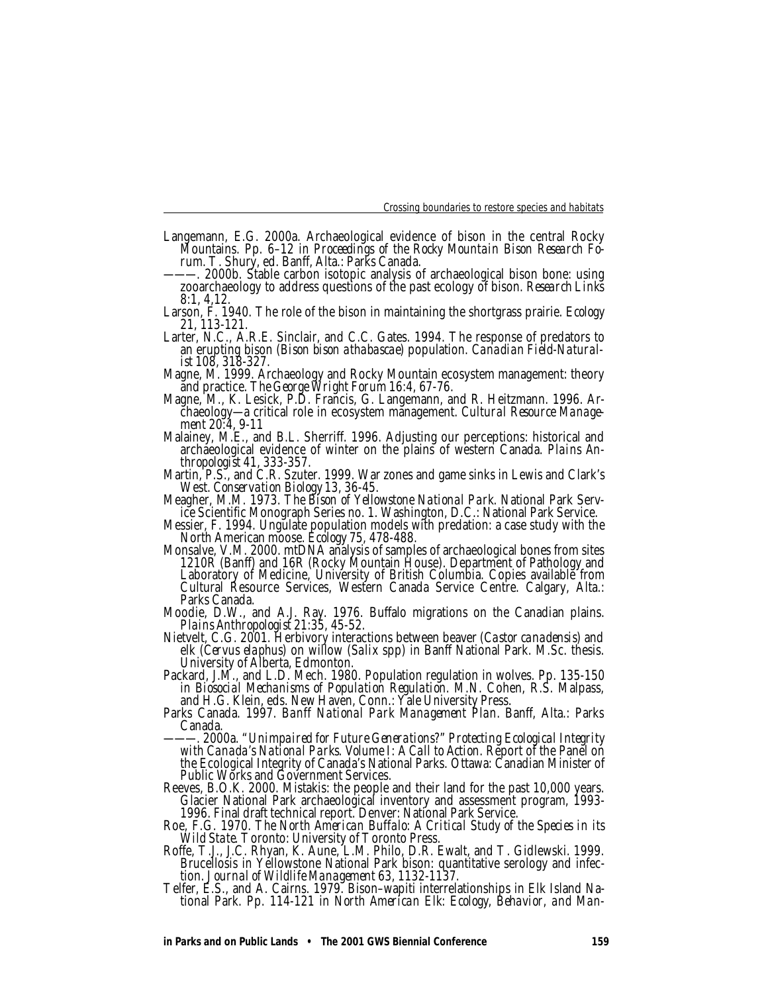- Langemann, E.G. 2000a. Archaeological evidence of bison in the central Rocky Mountains. Pp. 6–12 in *Proceedings of the Rocky Mountain Bison Research Forum.* T. Shury, ed. Banff, Alta.: Parks Canada.
- -. 2000b. Stable carbon isotopic analysis of archaeological bison bone: using zooarchaeology to address questions of the past ecology of bison. *Research Links* 8:1, 4,12.
- Larson, F. 1940. The role of the bison in maintaining the shortgrass prairie. *Ecology* 21, 113-121.
- Larter, N.C., A.R.E. Sinclair, and C.C. Gates. 1994. The response of predators to an erupting bison *(Bison bison athabascae)* population. *Canadian Field-Naturalist* 108, 318-327.
- Magne, M. 1999. Archaeology and Rocky Mountain ecosystem management: theory and practice. *The George Wright Forum* 16:4, 67-76.
- Magne, M., K. Lesick, P.D. Francis, G. Langemann, and R. Heitzmann. 1996. Archaeology—a critical role in ecosystem management. *Cultural Resource Management* 20:4, 9-11
- Malainey, M.E., and B.L. Sherriff. 1996. Adjusting our perceptions: historical and archaeological evidence of winter on the plains of western Canada. *Plains Anthropologist* 41, 333-357.
- Martin, P.S., and C.R. Szuter. 1999. War zones and game sinks in Lewis and Clark's West. *Conservation Biology* 13, 36-45.
- Meagher, M.M. 1973. *The Bison of Yellowstone National Park.* National Park Service Scientific Monograph Series no. 1. Washington, D.C.: National Park Service.
- Messier, F. 1994. Ungulate population models with predation: a case study with the North American moose. *Ecology* 75, 478-488.
- Monsalve, V.M. 2000. mtDNA analysis of samples of archaeological bones from sites 1210R (Banff) and 16R (Rocky Mountain House). Department of Pathology and Laboratory of Medicine, University of British Columbia. Copies available from Cultural Resource Services, Western Canada Service Centre. Calgary, Alta.: Parks Canada.
- Moodie, D.W., and A.J. Ray. 1976. Buffalo migrations on the Canadian plains. *Plains Anthropologist* 21:35, 45-52.
- Nietvelt, C.G. 2001. Herbivory interactions between beaver *(Castor canadensis)* and elk *(Cervus elaphus)* on willow *(Salix* spp) in Banff National Park. M.Sc. thesis. University of Alberta, Edmonton.
- Packard, J.M., and L.D. Mech. 1980. Population regulation in wolves. Pp. 135-150 in *Biosocial Mechanisms of Population Regulation.* M.N. Cohen, R.S. Malpass, and H.G. Klein, eds. New Haven, Conn.: Yale University Press.
- Parks Canada. 1997. *Banff National Park Management Plan.* Banff, Alta.: Parks Canada.
- ———. 2000a. "*Unimpaired for Future Generations?" Protecting Ecological Integrity with Canada's National Parks. Volume I: A Call to Action.* Report of the Panel on the Ecological Integrity of Canada's National Parks. Ottawa: Canadian Minister of Public Works and Government Services.
- Reeves, B.O.K. 2000. Mistakis: the people and their land for the past 10,000 years. Glacier National Park archaeological inventory and assessment program, 1993- 1996. Final draft technical report. Denver: National Park Service.
- Roe, F.G. 1970. *The North American Buffalo: A Critical Study of the Species in its Wild State.* Toronto: University of Toronto Press.
- Roffe, T.J., J.C. Rhyan, K. Aune, L.M. Philo, D.R. Ewalt, and T. Gidlewski. 1999. Brucellosis in Yellowstone National Park bison: quantitative serology and infection. *Journal of Wildlife Management* 63, 1132-1137.
- Telfer, E.S., and A. Cairns. 1979. Bison–wapiti interrelationships in Elk Island National Park. Pp. 114-121 in *North American Elk: Ecology, Behavior, and Man-*